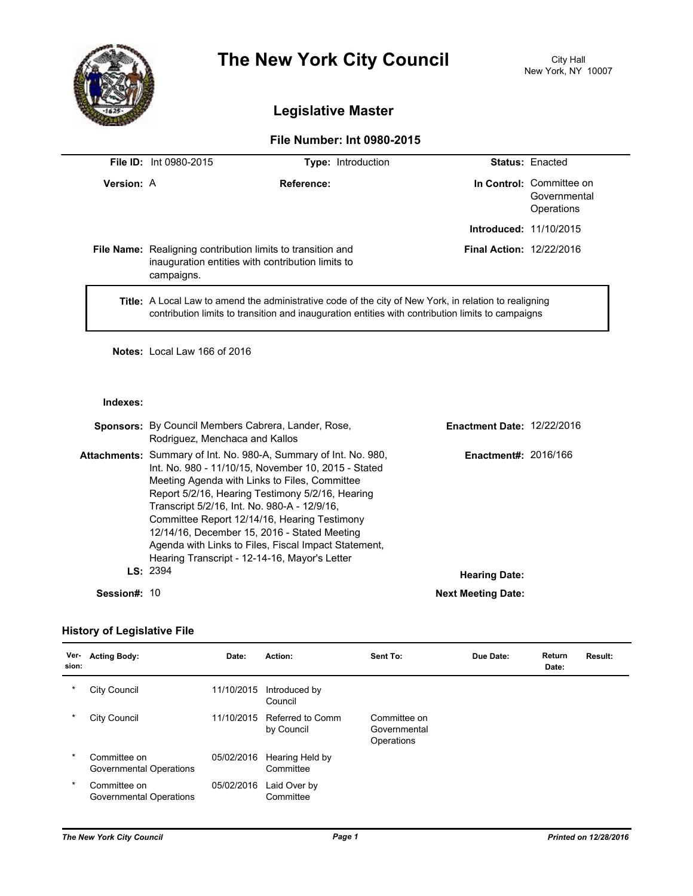

# **The New York City Council** City Hall

## **Legislative Master**

### **File Number: Int 0980-2015**

|                   | <b>File ID:</b> Int 0980-2015                                                                                                                                                                                      | <b>Type:</b> Introduction       |                               | <b>Status: Enacted</b>                                 |  |
|-------------------|--------------------------------------------------------------------------------------------------------------------------------------------------------------------------------------------------------------------|---------------------------------|-------------------------------|--------------------------------------------------------|--|
| <b>Version: A</b> |                                                                                                                                                                                                                    | Reference:                      |                               | In Control: Committee on<br>Governmental<br>Operations |  |
|                   |                                                                                                                                                                                                                    |                                 | <b>Introduced: 11/10/2015</b> |                                                        |  |
|                   | <b>File Name:</b> Realigning contribution limits to transition and<br>inauguration entities with contribution limits to<br>campaigns.                                                                              | <b>Final Action: 12/22/2016</b> |                               |                                                        |  |
|                   | <b>Title:</b> A Local Law to amend the administrative code of the city of New York, in relation to realigning<br>contribution limits to transition and inauguration entities with contribution limits to campaigns |                                 |                               |                                                        |  |

**Notes:** Local Law 166 of 2016

#### **Indexes:**

|              | <b>Sponsors:</b> By Council Members Cabrera, Lander, Rose,<br>Rodriguez, Menchaca and Kallos                                                                                                                                                                                                                                                                                                                                                                                                 | <b>Enactment Date: 12/22/2016</b> |  |
|--------------|----------------------------------------------------------------------------------------------------------------------------------------------------------------------------------------------------------------------------------------------------------------------------------------------------------------------------------------------------------------------------------------------------------------------------------------------------------------------------------------------|-----------------------------------|--|
|              | <b>Attachments:</b> Summary of Int. No. 980-A, Summary of Int. No. 980,<br>Int. No. 980 - 11/10/15, November 10, 2015 - Stated<br>Meeting Agenda with Links to Files, Committee<br>Report 5/2/16, Hearing Testimony 5/2/16, Hearing<br>Transcript 5/2/16, Int. No. 980-A - 12/9/16,<br>Committee Report 12/14/16, Hearing Testimony<br>12/14/16, December 15, 2016 - Stated Meeting<br>Agenda with Links to Files, Fiscal Impact Statement,<br>Hearing Transcript - 12-14-16, Mayor's Letter | <b>Enactment#: 2016/166</b>       |  |
|              | LS: 2394                                                                                                                                                                                                                                                                                                                                                                                                                                                                                     | <b>Hearing Date:</b>              |  |
| Session#: 10 |                                                                                                                                                                                                                                                                                                                                                                                                                                                                                              | <b>Next Meeting Date:</b>         |  |

#### **History of Legislative File**

| Ver-<br>sion: | <b>Acting Body:</b>                     | Date:      | Action:                        | Sent To:                                   | Due Date: | <b>Return</b><br>Date: | Result: |
|---------------|-----------------------------------------|------------|--------------------------------|--------------------------------------------|-----------|------------------------|---------|
| $\ast$        | City Council                            | 11/10/2015 | Introduced by<br>Council       |                                            |           |                        |         |
| $\ast$        | City Council                            | 11/10/2015 | Referred to Comm<br>by Council | Committee on<br>Governmental<br>Operations |           |                        |         |
| $\ast$        | Committee on<br>Governmental Operations | 05/02/2016 | Hearing Held by<br>Committee   |                                            |           |                        |         |
| $\ast$        | Committee on<br>Governmental Operations | 05/02/2016 | Laid Over by<br>Committee      |                                            |           |                        |         |